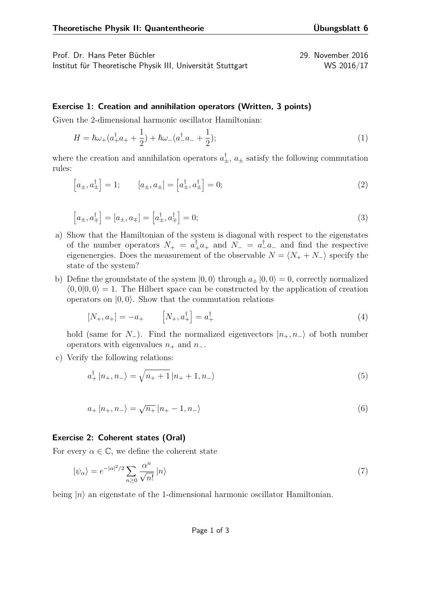Prof. Dr. Hans Peter Büchler 29. November 2016

Institut für Theoretische Physik III, Universität Stuttgart WS 2016/17

## **Exercise 1: Creation and annihilation operators (Written, 3 points)**

Given the 2-dimensional harmonic oscillator Hamiltonian:

$$
H = \hbar\omega_{+}(a_{+}^{\dagger}a_{+} + \frac{1}{2}) + \hbar\omega_{-}(a_{-}^{\dagger}a_{-} + \frac{1}{2});
$$
\n(1)

where the creation and annihilation operators  $a_{\pm}^{\dagger}$ ,  $a_{\pm}$  satisfy the following commutation rules:

$$
\left[a_{\pm}, a_{\pm}^{\dagger}\right] = 1; \qquad \left[a_{\pm}, a_{\pm}\right] = \left[a_{\pm}^{\dagger}, a_{\pm}^{\dagger}\right] = 0; \tag{2}
$$

$$
\left[a_{\pm}, a_{\mp}^{\dagger}\right] = \left[a_{\pm}, a_{\mp}\right] = \left[a_{\pm}^{\dagger}, a_{\mp}^{\dagger}\right] = 0; \tag{3}
$$

- a) Show that the Hamiltonian of the system is diagonal with respect to the eigenstates of the number operators  $N_{+} = a_{+}^{\dagger} a_{+}$  and  $N_{-} = a_{-}^{\dagger} a_{-}$  and find the respective eigenenergies. Does the measurement of the observable  $N = \langle N_+ + N_- \rangle$  specify the state of the system?
- b) Define the groundstate of the system  $|0,0\rangle$  through  $a_{\pm} |0,0\rangle = 0$ , correctly normalized  $\langle 0,0|0,0\rangle = 1$ . The Hilbert space can be constructed by the application of creation operators on  $|0,0\rangle$ . Show that the commutation relations

$$
[N_{+}, a_{+}] = -a_{+} \qquad [N_{+}, a_{+}^{\dagger}] = a_{+}^{\dagger} \tag{4}
$$

hold (same for *N*−). Find the normalized eigenvectors  $|n_+, n_-\rangle$  of both number operators with eigenvalues  $n_+$  and  $n_-$ .

c) Verify the following relations:

$$
a_{+}^{\dagger} |n_{+}, n_{-}\rangle = \sqrt{n_{+} + 1} |n_{+} + 1, n_{-}\rangle
$$
\n(5)

$$
a_{+} |n_{+}, n_{-}\rangle = \sqrt{n_{+}} |n_{+} - 1, n_{-}\rangle
$$
\n(6)

## **Exercise 2: Coherent states (Oral)**

For every  $\alpha \in \mathbb{C}$ , we define the coherent state

$$
|\psi_{\alpha}\rangle = e^{-|\alpha|^2/2} \sum_{n\geq 0} \frac{\alpha^n}{\sqrt{n!}} |n\rangle \tag{7}
$$

being  $|n\rangle$  an eigenstate of the 1-dimensional harmonic oscillator Hamiltonian.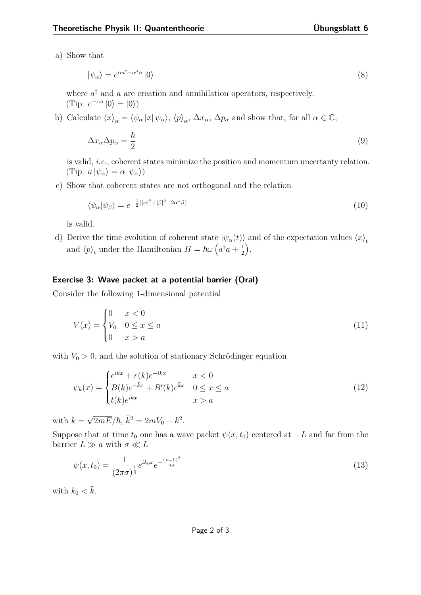a) Show that

$$
|\psi_{\alpha}\rangle = e^{\alpha a^{\dagger} - \alpha^* a} |0\rangle \tag{8}
$$

where  $a^{\dagger}$  and  $a$  are creation and annihilation operators, respectively.  $(\text{Tip: } e^{-\alpha a} | 0 \rangle = | 0 \rangle)$ 

b) Calculate  $\langle x \rangle_{\alpha} = \langle \psi_{\alpha} | x | \psi_{\alpha} \rangle$ ,  $\langle p \rangle_{\alpha}$ ,  $\Delta x_{\alpha}$ ,  $\Delta p_{\alpha}$  and show that, for all  $\alpha \in \mathbb{C}$ ,

$$
\Delta x_{\alpha} \Delta p_{\alpha} = \frac{\hbar}{2} \tag{9}
$$

is valid, *i.e.*, coherent states minimize the position and momentum uncertanty relation.  $(\text{Tip: } a \left| \psi_{\alpha} \right\rangle = \alpha \left| \psi_{\alpha} \right\rangle)$ 

c) Show that coherent states are not orthogonal and the relation

$$
\langle \psi_{\alpha} | \psi_{\beta} \rangle = e^{-\frac{1}{2}(|\alpha|^2 + |\beta|^2 - 2\alpha^* \beta)} \tag{10}
$$

is valid.

d) Derive the time evolution of coherent state  $|\psi_{\alpha}(t)\rangle$  and of the expectation values  $\langle x \rangle_t$ and  $\langle p \rangle_t$  under the Hamiltonian  $H = \hbar \omega \left( a^\dagger a + \frac{1}{2} \right)$ 2 .

## **Exercise 3: Wave packet at a potential barrier (Oral)**

Consider the following 1-dimensional potential

$$
V(x) = \begin{cases} 0 & x < 0 \\ V_0 & 0 \le x \le a \\ 0 & x > a \end{cases}
$$
 (11)

with  $V_0 > 0$ , and the solution of stationary Schrödinger equation

$$
\psi_k(x) = \begin{cases} e^{ikx} + r(k)e^{-ikx} & x < 0\\ B(k)e^{-\bar{k}x} + B'(k)e^{\bar{k}x} & 0 \le x \le a\\ t(k)e^{ikx} & x > a \end{cases} \tag{12}
$$

with  $k =$  $\sqrt{2mE}/\hbar, \ \bar{k}^2 = 2mV_0 - k^2.$ 

Suppose that at time  $t_0$  one has a wave packet  $\psi(x, t_0)$  centered at  $-L$  and far from the barrier  $L \gg a$  with  $\sigma \ll L$ 

$$
\psi(x,t_0) = \frac{1}{(2\pi\sigma)^{\frac{1}{4}}} e^{ik_0 x} e^{-\frac{(x+L)^2}{4\sigma}}
$$
\n(13)

with  $k_0 < \bar{k}$ .